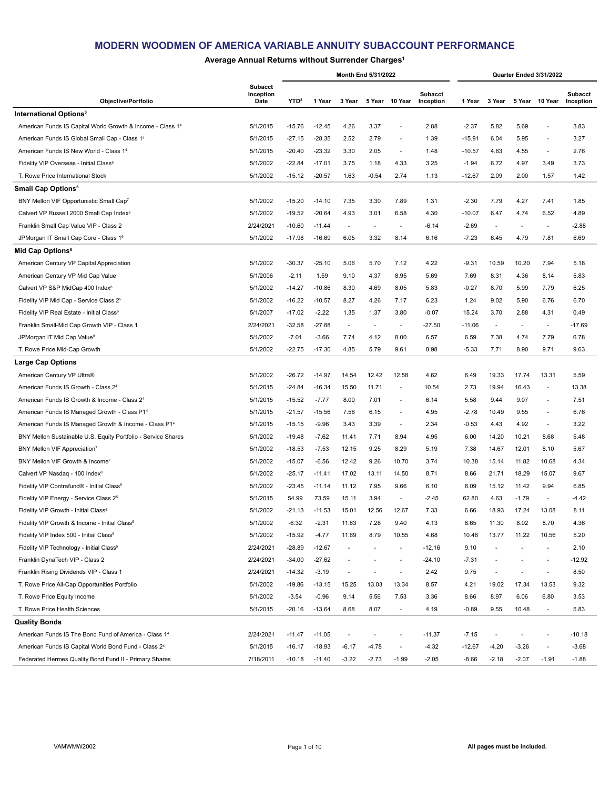### **Average Annual Returns without Surrender Charges1**

|                                                                   |                                     |                  |          |                          | Month End 5/31/2022      |                          |                             |          |                          |                          | Quarter Ended 3/31/2022  |                             |
|-------------------------------------------------------------------|-------------------------------------|------------------|----------|--------------------------|--------------------------|--------------------------|-----------------------------|----------|--------------------------|--------------------------|--------------------------|-----------------------------|
| Objective/Portfolio                                               | <b>Subacct</b><br>Inception<br>Date | YTD <sup>2</sup> | 1 Year   | 3 Year                   |                          | 5 Year 10 Year           | <b>Subacct</b><br>Inception | 1 Year   | 3 Year                   |                          | 5 Year 10 Year           | <b>Subacct</b><br>Inception |
| International Options <sup>3</sup>                                |                                     |                  |          |                          |                          |                          |                             |          |                          |                          |                          |                             |
| American Funds IS Capital World Growth & Income - Class 14        | 5/1/2015                            | $-15.76$         | $-12.45$ | 4.26                     | 3.37                     | ÷,                       | 2.88                        | $-2.37$  | 5.82                     | 5.69                     | $\overline{\phantom{a}}$ | 3.83                        |
| American Funds IS Global Small Cap - Class 14                     | 5/1/2015                            | $-27.15$         | $-28.35$ | 2.52                     | 2.79                     | ٠                        | 1.39                        | $-15.91$ | 6.04                     | 5.95                     | ٠                        | 3.27                        |
| American Funds IS New World - Class 14                            | 5/1/2015                            | $-20.40$         | $-23.32$ | 3.30                     | 2.05                     | $\overline{\phantom{a}}$ | 1.48                        | $-10.57$ | 4.83                     | 4.55                     | $\overline{\phantom{a}}$ | 2.76                        |
| Fidelity VIP Overseas - Initial Class <sup>5</sup>                | 5/1/2002                            | $-22.84$         | $-17.01$ | 3.75                     | 1.18                     | 4.33                     | 3.25                        | $-1.94$  | 6.72                     | 4.97                     | 3.49                     | 3.73                        |
| T. Rowe Price International Stock                                 | 5/1/2002                            | $-15.12$         | $-20.57$ | 1.63                     | $-0.54$                  | 2.74                     | 1.13                        | $-12.67$ | 2.09                     | 2.00                     | 1.57                     | 1.42                        |
| <b>Small Cap Options<sup>6</sup></b>                              |                                     |                  |          |                          |                          |                          |                             |          |                          |                          |                          |                             |
| BNY Mellon VIF Opportunistic Small Cap7                           | 5/1/2002                            | $-15.20$         | $-14.10$ | 7.35                     | 3.30                     | 7.89                     | 1.31                        | $-2.30$  | 7.79                     | 4.27                     | 7.41                     | 1.85                        |
| Calvert VP Russell 2000 Small Cap Index <sup>8</sup>              | 5/1/2002                            | $-19.52$         | $-20.64$ | 4.93                     | 3.01                     | 6.58                     | 4.30                        | $-10.07$ | 6.47                     | 4.74                     | 6.52                     | 4.89                        |
| Franklin Small Cap Value VIP - Class 2                            | 2/24/2021                           | $-10.60$         | $-11.44$ | $\sim$                   | $\overline{\phantom{a}}$ | $\sim$                   | -6.14                       | $-2.69$  | $\overline{a}$           | $\overline{a}$           | $\sim$                   | $-2.88$                     |
| JPMorgan IT Small Cap Core - Class 19                             | 5/1/2002                            | $-17.98$         | $-16.69$ | 6.05                     | 3.32                     | 8.14                     | 6.16                        | $-7.23$  | 6.45                     | 4.79                     | 7.81                     | 6.69                        |
| Mid Cap Options <sup>6</sup>                                      |                                     |                  |          |                          |                          |                          |                             |          |                          |                          |                          |                             |
| American Century VP Capital Appreciation                          | 5/1/2002                            | $-30.37$         | $-25.10$ | 5.06                     | 5.70                     | 7.12                     | 4.22                        | $-9.31$  | 10.59                    | 10.20                    | 7.94                     | 5.18                        |
| American Century VP Mid Cap Value                                 | 5/1/2006                            | $-2.11$          | 1.59     | 9.10                     | 4.37                     | 8.95                     | 5.69                        | 7.69     | 8.31                     | 4.36                     | 8.14                     | 5.83                        |
| Calvert VP S&P MidCap 400 Index <sup>8</sup>                      | 5/1/2002                            | $-14.27$         | $-10.86$ | 8.30                     | 4.69                     | 8.05                     | 5.83                        | $-0.27$  | 8.70                     | 5.99                     | 7.79                     | 6.25                        |
| Fidelity VIP Mid Cap - Service Class 2 <sup>5</sup>               | 5/1/2002                            | $-16.22$         | $-10.57$ | 8.27                     | 4.26                     | 7.17                     | 6.23                        | 1.24     | 9.02                     | 5.90                     | 6.76                     | 6.70                        |
| Fidelity VIP Real Estate - Initial Class <sup>5</sup>             | 5/1/2007                            | $-17.02$         | $-2.22$  | 1.35                     | 1.37                     | 3.80                     | $-0.07$                     | 15.24    | 3.70                     | 2.88                     | 4.31                     | 0.49                        |
| Franklin Small-Mid Cap Growth VIP - Class 1                       | 2/24/2021                           | $-32.58$         | $-27.88$ | $\overline{\phantom{a}}$ | $\overline{\phantom{a}}$ | $\blacksquare$           | $-27.50$                    | -11.06   | $\overline{\phantom{a}}$ | $\overline{\phantom{a}}$ | $\overline{\phantom{a}}$ | $-17.69$                    |
| JPMorgan IT Mid Cap Value <sup>9</sup>                            | 5/1/2002                            | $-7.01$          | $-3.66$  | 7.74                     | 4.12                     | 8.00                     | 6.57                        | 6.59     | 7.38                     | 4.74                     | 7.79                     | 6.78                        |
| T. Rowe Price Mid-Cap Growth                                      | 5/1/2002                            | $-22.75$         | $-17.30$ | 4.85                     | 5.79                     | 9.61                     | 8.98                        | $-5.33$  | 7.71                     | 8.90                     | 9.71                     | 9.63                        |
|                                                                   |                                     |                  |          |                          |                          |                          |                             |          |                          |                          |                          |                             |
| <b>Large Cap Options</b>                                          |                                     |                  |          |                          |                          |                          |                             |          |                          |                          |                          |                             |
| American Century VP Ultra®                                        | 5/1/2002                            | $-26.72$         | $-14.97$ | 14.54                    | 12.42                    | 12.58                    | 4.62                        | 6.49     | 19.33                    | 17.74                    | 13.31                    | 5.59                        |
| American Funds IS Growth - Class 2 <sup>4</sup>                   | 5/1/2015                            | $-24.84$         | $-16.34$ | 15.50                    | 11.71                    | ÷,                       | 10.54                       | 2.73     | 19.94                    | 16.43                    | $\overline{\phantom{a}}$ | 13.38                       |
| American Funds IS Growth & Income - Class 2 <sup>4</sup>          | 5/1/2015                            | $-15.52$         | $-7.77$  | 8.00                     | 7.01                     | $\overline{\phantom{a}}$ | 6.14                        | 5.58     | 9.44                     | 9.07                     | $\overline{\phantom{a}}$ | 7.51                        |
| American Funds IS Managed Growth - Class P14                      | 5/1/2015                            | $-21.57$         | $-15.56$ | 7.56                     | 6.15                     | $\blacksquare$           | 4.95                        | $-2.78$  | 10.49                    | 9.55                     | ٠                        | 6.76                        |
| American Funds IS Managed Growth & Income - Class P1 <sup>4</sup> | 5/1/2015                            | $-15.15$         | $-9.96$  | 3.43                     | 3.39                     | $\overline{\phantom{a}}$ | 2.34                        | $-0.53$  | 4.43                     | 4.92                     | $\blacksquare$           | 3.22                        |
| BNY Mellon Sustainable U.S. Equity Portfolio - Service Shares     | 5/1/2002                            | $-19.48$         | $-7.62$  | 11.41                    | 7.71                     | 8.94                     | 4.95                        | 6.00     | 14.20                    | 10.21                    | 8.68                     | 5.48                        |
| BNY Mellon VIF Appreciation7                                      | 5/1/2002                            | $-18.53$         | $-7.53$  | 12.15                    | 9.25                     | 8.29                     | 5.19                        | 7.38     | 14.67                    | 12.01                    | 8.10                     | 5.67                        |
| BNY Mellon VIF Growth & Income <sup>7</sup>                       | 5/1/2002                            | $-15.07$         | $-6.56$  | 12.42                    | 9.26                     | 10.70                    | 3.74                        | 10.38    | 15.14                    | 11.82                    | 10.68                    | 4.34                        |
| Calvert VP Nasdag - 100 Index <sup>8</sup>                        | 5/1/2002                            | $-25.17$         | $-11.41$ | 17.02                    | 13.11                    | 14.50                    | 8.71                        | 8.66     | 21.71                    | 18.29                    | 15.07                    | 9.67                        |
| Fidelity VIP Contrafund® - Initial Class <sup>5</sup>             | 5/1/2002                            | $-23.45$         | $-11.14$ | 11.12                    | 7.95                     | 9.66                     | 6.10                        | 8.09     | 15.12                    | 11.42                    | 9.94                     | 6.85                        |
| Fidelity VIP Energy - Service Class 2 <sup>5</sup>                | 5/1/2015                            | 54.99            | 73.59    | 15.11                    | 3.94                     | $\overline{\phantom{a}}$ | $-2.45$                     | 62.80    | 4.63                     | $-1.79$                  | ٠                        | $-4.42$                     |
| Fidelity VIP Growth - Initial Class <sup>5</sup>                  | 5/1/2002                            | $-21.13$         | $-11.53$ | 15.01                    | 12.56                    | 12.67                    | 7.33                        | 6.66     | 18.93                    | 17.24                    | 13.08                    | 8.11                        |
| Fidelity VIP Growth & Income - Initial Class <sup>5</sup>         | 5/1/2002                            | $-6.32$          | $-2.31$  | 11.63                    | 7.28                     | 9.40                     | 4.13                        | 8.65     | 11.30                    | 8.02                     | 8.70                     | 4.36                        |
| Fidelity VIP Index 500 - Initial Class <sup>5</sup>               | 5/1/2002                            | $-15.92$         | $-4.77$  | 11.69                    | 8.79                     | 10.55                    | 4.68                        | 10.48    | 13.77                    | 11.22                    | 10.56                    | 5.20                        |
| Fidelity VIP Technology - Initial Class <sup>5</sup>              | 2/24/2021                           | $-28.89$         | $-12.67$ | $\overline{\phantom{a}}$ | $\overline{\phantom{a}}$ | $\blacksquare$           | -12.16                      | 9.10     | $\overline{\phantom{a}}$ | ä,                       | $\blacksquare$           | 2.10                        |
| Franklin DynaTech VIP - Class 2                                   | 2/24/2021                           | $-34.00$         | $-27.62$ |                          | $\overline{\phantom{a}}$ | ٠                        | $-24.10$                    | $-7.31$  |                          |                          | $\overline{\phantom{a}}$ | $-12.92$                    |
| Franklin Rising Dividends VIP - Class 1                           | 2/24/2021                           | $-14.32$         | $-3.19$  | $\overline{\phantom{a}}$ | $\overline{\phantom{a}}$ | ÷,                       | 2.42                        | 9.75     | $\overline{\phantom{a}}$ | ٠                        | $\overline{\phantom{a}}$ | 8.50                        |
| T. Rowe Price All-Cap Opportunities Portfolio                     | 5/1/2002                            | $-19.86$         | $-13.15$ | 15.25                    | 13.03                    | 13.34                    | 8.57                        | 4.21     | 19.02                    | 17.34                    | 13.53                    | 9.32                        |
| T. Rowe Price Equity Income                                       | 5/1/2002                            | $-3.54$          | $-0.96$  | 9.14                     | 5.56                     | 7.53                     | 3.36                        | 8.66     | 8.97                     | 6.06                     | 6.80                     | 3.53                        |
| T. Rowe Price Health Sciences                                     | 5/1/2015                            | $-20.16$         | $-13.64$ | 8.68                     | 8.07                     | $\blacksquare$           | 4.19                        | $-0.89$  | 9.55                     | 10.48                    | $\overline{\phantom{a}}$ | 5.83                        |
| <b>Quality Bonds</b>                                              |                                     |                  |          |                          |                          |                          |                             |          |                          |                          |                          |                             |
| American Funds IS The Bond Fund of America - Class 14             | 2/24/2021                           | $-11.47$         | $-11.05$ |                          | $\overline{\phantom{a}}$ | ä,                       | $-11.37$                    | $-7.15$  | $\blacksquare$           |                          | ÷,                       | $-10.18$                    |
| American Funds IS Capital World Bond Fund - Class 24              | 5/1/2015                            | $-16.17$         | $-18.93$ | $-6.17$                  | $-4.78$                  |                          | $-4.32$                     | $-12.67$ | $-4.20$                  | $-3.26$                  | $\overline{\phantom{a}}$ | $-3.68$                     |
| Federated Hermes Quality Bond Fund II - Primary Shares            | 7/18/2011                           | $-10.18$         | $-11.40$ | $-3.22$                  | $-2.73$                  | $-1.99$                  | $-2.05$                     | $-8.66$  | $-2.18$                  | $-2.07$                  | $-1.91$                  | $-1.88$                     |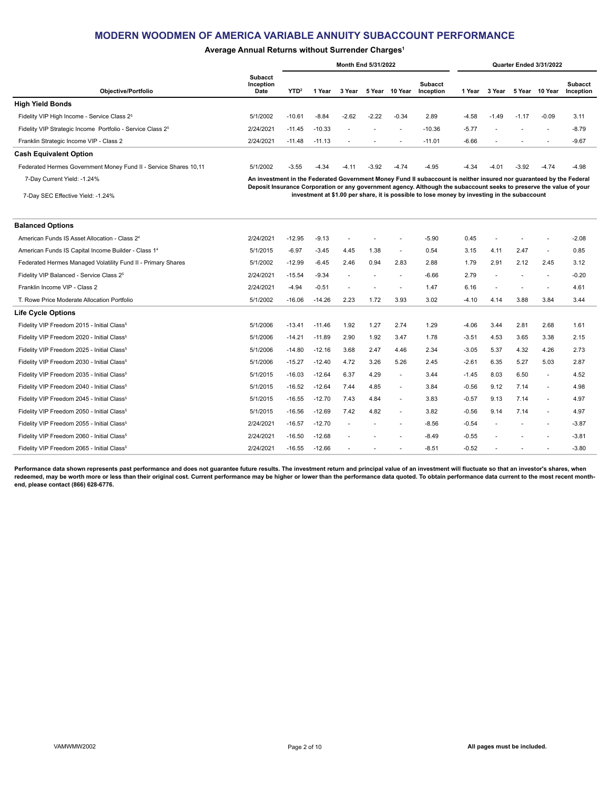### **Average Annual Returns without Surrender Charges1**

|                                                                        |                                     |                  |          | <b>Month End 5/31/2022</b> |         |                          |                                                                                                                                                                                                                                            |         |                          | Quarter Ended 3/31/2022 |                          |                             |
|------------------------------------------------------------------------|-------------------------------------|------------------|----------|----------------------------|---------|--------------------------|--------------------------------------------------------------------------------------------------------------------------------------------------------------------------------------------------------------------------------------------|---------|--------------------------|-------------------------|--------------------------|-----------------------------|
| Objective/Portfolio                                                    | <b>Subacct</b><br>Inception<br>Date | YTD <sup>2</sup> | 1 Year   | 3 Year                     | 5 Year  | 10 Year                  | Subacct<br>Inception                                                                                                                                                                                                                       | 1 Year  | 3 Year                   |                         | 5 Year 10 Year           | <b>Subacct</b><br>Inception |
| <b>High Yield Bonds</b>                                                |                                     |                  |          |                            |         |                          |                                                                                                                                                                                                                                            |         |                          |                         |                          |                             |
| Fidelity VIP High Income - Service Class 2 <sup>5</sup>                | 5/1/2002                            | $-10.61$         | $-8.84$  | $-2.62$                    | $-2.22$ | $-0.34$                  | 2.89                                                                                                                                                                                                                                       | $-4.58$ | $-1.49$                  | $-1.17$                 | $-0.09$                  | 3.11                        |
| Fidelity VIP Strategic Income Portfolio - Service Class 2 <sup>5</sup> | 2/24/2021                           | $-11.45$         | $-10.33$ | ۰                          |         | $\overline{\phantom{a}}$ | $-10.36$                                                                                                                                                                                                                                   | $-5.77$ | $\overline{\phantom{a}}$ |                         | $\overline{\phantom{a}}$ | $-8.79$                     |
| Franklin Strategic Income VIP - Class 2                                | 2/24/2021                           | $-11.48$         | $-11.13$ |                            |         | $\overline{a}$           | $-11.01$                                                                                                                                                                                                                                   | $-6.66$ |                          |                         |                          | $-9.67$                     |
| <b>Cash Equivalent Option</b>                                          |                                     |                  |          |                            |         |                          |                                                                                                                                                                                                                                            |         |                          |                         |                          |                             |
| Federated Hermes Government Money Fund II - Service Shares 10,11       | 5/1/2002                            | $-3.55$          | $-4.34$  | $-4.11$                    | $-3.92$ | $-4.74$                  | $-4.95$                                                                                                                                                                                                                                    | $-4.34$ | $-4.01$                  | $-3.92$                 | $-4.74$                  | $-4.98$                     |
| 7-Day Current Yield: -1.24%                                            |                                     |                  |          |                            |         |                          | An investment in the Federated Government Money Fund II subaccount is neither insured nor guaranteed by the Federal<br>Deposit Insurance Corporation or any government agency. Although the subaccount seeks to preserve the value of your |         |                          |                         |                          |                             |
| 7-Day SEC Effective Yield: -1.24%                                      |                                     |                  |          |                            |         |                          | investment at \$1.00 per share, it is possible to lose money by investing in the subaccount                                                                                                                                                |         |                          |                         |                          |                             |
|                                                                        |                                     |                  |          |                            |         |                          |                                                                                                                                                                                                                                            |         |                          |                         |                          |                             |
| <b>Balanced Options</b>                                                |                                     |                  |          |                            |         |                          |                                                                                                                                                                                                                                            |         |                          |                         |                          |                             |

| American Funds IS Asset Allocation - Class 2 <sup>4</sup>       | 2/24/2021 | $-12.95$ | $-9.13$  |      |      |                | $-5.90$ | 0.45    | ٠              |      |        | $-2.08$ |
|-----------------------------------------------------------------|-----------|----------|----------|------|------|----------------|---------|---------|----------------|------|--------|---------|
| American Funds IS Capital Income Builder - Class 1 <sup>4</sup> | 5/1/2015  | $-6.97$  | $-3.45$  | 4.45 | 1.38 | $\overline{a}$ | 0.54    | 3.15    | 4.11           | 2.47 | $\sim$ | 0.85    |
| Federated Hermes Managed Volatility Fund II - Primary Shares    | 5/1/2002  | $-12.99$ | $-6.45$  | 2.46 | 0.94 | 2.83           | 2.88    | 1.79    | 2.91           | 2.12 | 2.45   | 3.12    |
| Fidelity VIP Balanced - Service Class 2 <sup>5</sup>            | 2/24/2021 | $-15.54$ | $-9.34$  | ٠    |      |                | $-6.66$ | 2.79    | ٠              |      |        | $-0.20$ |
| Franklin Income VIP - Class 2                                   | 2/24/2021 | $-4.94$  | $-0.51$  | ٠    |      |                | 1.47    | 6.16    | $\overline{a}$ |      |        | 4.61    |
| T. Rowe Price Moderate Allocation Portfolio                     | 5/1/2002  | $-16.06$ | $-14.26$ | 2.23 | 1.72 | 3.93           | 3.02    | $-4.10$ | 4.14           | 3.88 | 3.84   | 3.44    |
| <b>Life Cycle Options</b>                                       |           |          |          |      |      |                |         |         |                |      |        |         |
| Fidelity VIP Freedom 2015 - Initial Class <sup>5</sup>          | 5/1/2006  | $-13.41$ | $-11.46$ | 1.92 | 1.27 | 2.74           | 1.29    | $-4.06$ | 3.44           | 2.81 | 2.68   | 1.61    |
| Fidelity VIP Freedom 2020 - Initial Class <sup>5</sup>          | 5/1/2006  | $-14.21$ | $-11.89$ | 2.90 | 1.92 | 3.47           | 1.78    | $-3.51$ | 4.53           | 3.65 | 3.38   | 2.15    |
| Fidelity VIP Freedom 2025 - Initial Class <sup>5</sup>          | 5/1/2006  | $-14.80$ | $-12.16$ | 3.68 | 2.47 | 4.46           | 2.34    | $-3.05$ | 5.37           | 4.32 | 4.26   | 2.73    |
| Fidelity VIP Freedom 2030 - Initial Class <sup>5</sup>          | 5/1/2006  | $-15.27$ | $-12.40$ | 4.72 | 3.26 | 5.26           | 2.45    | $-2.61$ | 6.35           | 5.27 | 5.03   | 2.87    |
| Fidelity VIP Freedom 2035 - Initial Class <sup>5</sup>          | 5/1/2015  | $-16.03$ | $-12.64$ | 6.37 | 4.29 | ٠              | 3.44    | $-1.45$ | 8.03           | 6.50 | ٠      | 4.52    |
| Fidelity VIP Freedom 2040 - Initial Class <sup>5</sup>          | 5/1/2015  | $-16.52$ | $-12.64$ | 7.44 | 4.85 | $\sim$         | 3.84    | $-0.56$ | 9.12           | 7.14 | $\sim$ | 4.98    |
| Fidelity VIP Freedom 2045 - Initial Class <sup>5</sup>          | 5/1/2015  | $-16.55$ | $-12.70$ | 7.43 | 4.84 | $\sim$         | 3.83    | $-0.57$ | 9.13           | 7.14 | ٠      | 4.97    |
| Fidelity VIP Freedom 2050 - Initial Class <sup>5</sup>          | 5/1/2015  | $-16.56$ | $-12.69$ | 7.42 | 4.82 | $\sim$         | 3.82    | $-0.56$ | 9.14           | 7.14 | ٠      | 4.97    |
| Fidelity VIP Freedom 2055 - Initial Class <sup>5</sup>          | 2/24/2021 | $-16.57$ | $-12.70$ |      |      | $\sim$         | $-8.56$ | $-0.54$ |                |      |        | $-3.87$ |
| Fidelity VIP Freedom 2060 - Initial Class <sup>5</sup>          | 2/24/2021 | $-16.50$ | $-12.68$ |      |      |                | $-8.49$ | $-0.55$ |                |      |        | $-3.81$ |
| Fidelity VIP Freedom 2065 - Initial Class <sup>5</sup>          | 2/24/2021 | $-16.55$ | $-12.66$ |      |      |                | $-8.51$ | $-0.52$ |                |      |        | $-3.80$ |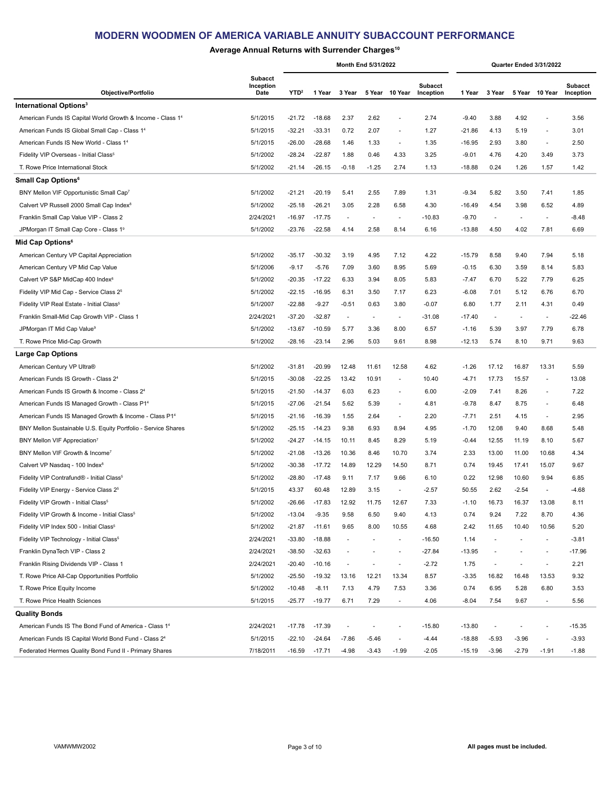## **Average Annual Returns with Surrender Charges10**

|                                                               |                                     |                  |          |                          | Month End 5/31/2022      |                          |                             |          |                          |                          | Quarter Ended 3/31/2022  |                             |
|---------------------------------------------------------------|-------------------------------------|------------------|----------|--------------------------|--------------------------|--------------------------|-----------------------------|----------|--------------------------|--------------------------|--------------------------|-----------------------------|
| Objective/Portfolio                                           | <b>Subacct</b><br>Inception<br>Date | YTD <sup>2</sup> | 1 Year   | 3 Year                   |                          | 5 Year 10 Year           | <b>Subacct</b><br>Inception | 1 Year   | 3 Year                   |                          | 5 Year 10 Year           | <b>Subacct</b><br>Inception |
| International Options <sup>3</sup>                            |                                     |                  |          |                          |                          |                          |                             |          |                          |                          |                          |                             |
| American Funds IS Capital World Growth & Income - Class 14    | 5/1/2015                            | $-21.72$         | $-18.68$ | 2.37                     | 2.62                     | ÷,                       | 2.74                        | $-9.40$  | 3.88                     | 4.92                     | ÷,                       | 3.56                        |
| American Funds IS Global Small Cap - Class 14                 | 5/1/2015                            | $-32.21$         | $-33.31$ | 0.72                     | 2.07                     | $\overline{a}$           | 1.27                        | $-21.86$ | 4.13                     | 5.19                     | ÷,                       | 3.01                        |
| American Funds IS New World - Class 1 <sup>4</sup>            | 5/1/2015                            | $-26.00$         | $-28.68$ | 1.46                     | 1.33                     | $\overline{\phantom{a}}$ | 1.35                        | $-16.95$ | 2.93                     | 3.80                     | $\blacksquare$           | 2.50                        |
| Fidelity VIP Overseas - Initial Class <sup>5</sup>            | 5/1/2002                            | $-28.24$         | $-22.87$ | 1.88                     | 0.46                     | 4.33                     | 3.25                        | $-9.01$  | 4.76                     | 4.20                     | 3.49                     | 3.73                        |
| T. Rowe Price International Stock                             | 5/1/2002                            | $-21.14$         | $-26.15$ | $-0.18$                  | $-1.25$                  | 2.74                     | 1.13                        | $-18.88$ | 0.24                     | 1.26                     | 1.57                     | 1.42                        |
| Small Cap Options <sup>6</sup>                                |                                     |                  |          |                          |                          |                          |                             |          |                          |                          |                          |                             |
| BNY Mellon VIF Opportunistic Small Cap7                       | 5/1/2002                            | $-21.21$         | $-20.19$ | 5.41                     | 2.55                     | 7.89                     | 1.31                        | $-9.34$  | 5.82                     | 3.50                     | 7.41                     | 1.85                        |
| Calvert VP Russell 2000 Small Cap Index <sup>8</sup>          | 5/1/2002                            | $-25.18$         | $-26.21$ | 3.05                     | 2.28                     | 6.58                     | 4.30                        | $-16.49$ | 4.54                     | 3.98                     | 6.52                     | 4.89                        |
| Franklin Small Cap Value VIP - Class 2                        | 2/24/2021                           | $-16.97$         | $-17.75$ | $\overline{\phantom{a}}$ | $\blacksquare$           | $\overline{\phantom{a}}$ | $-10.83$                    | $-9.70$  | $\overline{\phantom{a}}$ | $\sim$                   | $\blacksquare$           | $-8.48$                     |
| JPMorgan IT Small Cap Core - Class 19                         | 5/1/2002                            | $-23.76$         | $-22.58$ | 4.14                     | 2.58                     | 8.14                     | 6.16                        | $-13.88$ | 4.50                     | 4.02                     | 7.81                     | 6.69                        |
| Mid Cap Options <sup>6</sup>                                  |                                     |                  |          |                          |                          |                          |                             |          |                          |                          |                          |                             |
| American Century VP Capital Appreciation                      | 5/1/2002                            | $-35.17$         | $-30.32$ | 3.19                     | 4.95                     | 7.12                     | 4.22                        | $-15.79$ | 8.58                     | 9.40                     | 7.94                     | 5.18                        |
| American Century VP Mid Cap Value                             | 5/1/2006                            | $-9.17$          | $-5.76$  | 7.09                     | 3.60                     | 8.95                     | 5.69                        | $-0.15$  | 6.30                     | 3.59                     | 8.14                     | 5.83                        |
| Calvert VP S&P MidCap 400 Index <sup>8</sup>                  | 5/1/2002                            | $-20.35$         | $-17.22$ | 6.33                     | 3.94                     | 8.05                     | 5.83                        | $-7.47$  | 6.70                     | 5.22                     | 7.79                     | 6.25                        |
| Fidelity VIP Mid Cap - Service Class 2 <sup>5</sup>           | 5/1/2002                            | $-22.15$         | $-16.95$ | 6.31                     | 3.50                     | 7.17                     | 6.23                        | $-6.08$  | 7.01                     | 5.12                     | 6.76                     | 6.70                        |
| Fidelity VIP Real Estate - Initial Class <sup>5</sup>         | 5/1/2007                            | $-22.88$         | $-9.27$  | $-0.51$                  | 0.63                     | 3.80                     | $-0.07$                     | 6.80     | 1.77                     | 2.11                     | 4.31                     | 0.49                        |
| Franklin Small-Mid Cap Growth VIP - Class 1                   | 2/24/2021                           | $-37.20$         | $-32.87$ | $\overline{\phantom{a}}$ | $\blacksquare$           | $\overline{\phantom{a}}$ | $-31.08$                    | $-17.40$ | $\overline{\phantom{a}}$ | $\overline{\phantom{a}}$ | $\overline{\phantom{a}}$ | $-22.46$                    |
| JPMorgan IT Mid Cap Value <sup>9</sup>                        | 5/1/2002                            | $-13.67$         | $-10.59$ | 5.77                     | 3.36                     | 8.00                     | 6.57                        | $-1.16$  | 5.39                     | 3.97                     | 7.79                     | 6.78                        |
| T. Rowe Price Mid-Cap Growth                                  | 5/1/2002                            | $-28.16$         | $-23.14$ | 2.96                     | 5.03                     | 9.61                     | 8.98                        | $-12.13$ | 5.74                     | 8.10                     | 9.71                     | 9.63                        |
| <b>Large Cap Options</b>                                      |                                     |                  |          |                          |                          |                          |                             |          |                          |                          |                          |                             |
| American Century VP Ultra®                                    | 5/1/2002                            | $-31.81$         | $-20.99$ | 12.48                    | 11.61                    | 12.58                    | 4.62                        | $-1.26$  | 17.12                    | 16.87                    | 13.31                    | 5.59                        |
| American Funds IS Growth - Class 24                           | 5/1/2015                            | $-30.08$         | $-22.25$ | 13.42                    | 10.91                    | $\overline{\phantom{a}}$ | 10.40                       | $-4.71$  | 17.73                    | 15.57                    | $\blacksquare$           | 13.08                       |
| American Funds IS Growth & Income - Class 24                  | 5/1/2015                            | $-21.50$         | $-14.37$ | 6.03                     | 6.23                     | ٠                        | 6.00                        | $-2.09$  | 7.41                     | 8.26                     | $\overline{a}$           | 7.22                        |
| American Funds IS Managed Growth - Class P14                  | 5/1/2015                            | $-27.06$         | $-21.54$ | 5.62                     | 5.39                     | $\overline{\phantom{a}}$ | 4.81                        | $-9.78$  | 8.47                     | 8.75                     | $\overline{\phantom{a}}$ | 6.48                        |
| American Funds IS Managed Growth & Income - Class P14         | 5/1/2015                            | $-21.16$         | $-16.39$ | 1.55                     | 2.64                     | $\overline{\phantom{a}}$ | 2.20                        | $-7.71$  | 2.51                     | 4.15                     | $\overline{a}$           | 2.95                        |
| BNY Mellon Sustainable U.S. Equity Portfolio - Service Shares | 5/1/2002                            | $-25.15$         | $-14.23$ | 9.38                     | 6.93                     | 8.94                     | 4.95                        | $-1.70$  | 12.08                    | 9.40                     | 8.68                     | 5.48                        |
| BNY Mellon VIF Appreciation7                                  | 5/1/2002                            | $-24.27$         | $-14.15$ | 10.11                    | 8.45                     | 8.29                     | 5.19                        | $-0.44$  | 12.55                    | 11.19                    | 8.10                     | 5.67                        |
| BNY Mellon VIF Growth & Income <sup>7</sup>                   | 5/1/2002                            | $-21.08$         | $-13.26$ | 10.36                    | 8.46                     | 10.70                    | 3.74                        | 2.33     | 13.00                    | 11.00                    | 10.68                    | 4.34                        |
| Calvert VP Nasdaq - 100 Index <sup>8</sup>                    | 5/1/2002                            | $-30.38$         | $-17.72$ | 14.89                    | 12.29                    | 14.50                    | 8.71                        | 0.74     | 19.45                    | 17.41                    | 15.07                    | 9.67                        |
| Fidelity VIP Contrafund® - Initial Class <sup>5</sup>         | 5/1/2002                            | $-28.80$         | $-17.48$ | 9.11                     | 7.17                     | 9.66                     | 6.10                        | 0.22     | 12.98                    | 10.60                    | 9.94                     | 6.85                        |
| Fidelity VIP Energy - Service Class 2 <sup>5</sup>            | 5/1/2015                            | 43.37            | 60.48    | 12.89                    | 3.15                     | ٠                        | $-2.57$                     | 50.55    | 2.62                     | $-2.54$                  | $\blacksquare$           | $-4.68$                     |
| Fidelity VIP Growth - Initial Class <sup>5</sup>              | 5/1/2002                            | $-26.66$         | $-17.83$ | 12.92                    | 11.75                    | 12.67                    | 7.33                        | $-1.10$  | 16.73                    | 16.37                    | 13.08                    | 8.11                        |
| Fidelity VIP Growth & Income - Initial Class <sup>5</sup>     | 5/1/2002                            | $-13.04$         | $-9.35$  | 9.58                     | 6.50                     | 9.40                     | 4.13                        | 0.74     | 9.24                     | 7.22                     | 8.70                     | 4.36                        |
| Fidelity VIP Index 500 - Initial Class <sup>5</sup>           | 5/1/2002                            | -21.87           | $-11.61$ | 9.65                     | 8.00                     | 10.55                    | 4.68                        | 2.42     | 11.65                    | 10.40                    | 10.56                    | 5.20                        |
| Fidelity VIP Technology - Initial Class <sup>5</sup>          | 2/24/2021                           | $-33.80$         | $-18.88$ | $\overline{\phantom{a}}$ | $\overline{\phantom{a}}$ | $\overline{\phantom{a}}$ | $-16.50$                    | 1.14     | $\overline{\phantom{a}}$ |                          | $\blacksquare$           | $-3.81$                     |
| Franklin DynaTech VIP - Class 2                               | 2/24/2021                           | $-38.50$         | $-32.63$ |                          | $\overline{a}$           | $\overline{\phantom{a}}$ | $-27.84$                    | $-13.95$ | $\overline{\phantom{a}}$ |                          | $\blacksquare$           | $-17.96$                    |
| Franklin Rising Dividends VIP - Class 1                       | 2/24/2021                           | $-20.40$         | $-10.16$ | $\overline{\phantom{a}}$ | $\overline{\phantom{a}}$ | $\blacksquare$           | $-2.72$                     | 1.75     | $\overline{\phantom{a}}$ | $\overline{\phantom{a}}$ | $\blacksquare$           | 2.21                        |
| T. Rowe Price All-Cap Opportunities Portfolio                 | 5/1/2002                            | $-25.50$         | $-19.32$ | 13.16                    | 12.21                    | 13.34                    | 8.57                        | $-3.35$  | 16.82                    | 16.48                    | 13.53                    | 9.32                        |
| T. Rowe Price Equity Income                                   | 5/1/2002                            | $-10.48$         | $-8.11$  | 7.13                     | 4.79                     | 7.53                     | 3.36                        | 0.74     | 6.95                     | 5.28                     | 6.80                     | 3.53                        |
| T. Rowe Price Health Sciences                                 | 5/1/2015                            | $-25.77$         | $-19.77$ | 6.71                     | 7.29                     | $\overline{\phantom{a}}$ | 4.06                        | $-8.04$  | 7.54                     | 9.67                     | $\blacksquare$           | 5.56                        |
| Quality Bonds                                                 |                                     |                  |          |                          |                          |                          |                             |          |                          |                          |                          |                             |
| American Funds IS The Bond Fund of America - Class 14         | 2/24/2021                           | $-17.78$         | $-17.39$ | $\overline{\phantom{a}}$ | ٠                        | $\overline{a}$           | $-15.80$                    | $-13.80$ | $\overline{\phantom{a}}$ |                          | ÷,                       | $-15.35$                    |
| American Funds IS Capital World Bond Fund - Class 24          | 5/1/2015                            | $-22.10$         | $-24.64$ | $-7.86$                  | $-5.46$                  |                          | $-4.44$                     | $-18.88$ | $-5.93$                  | $-3.96$                  |                          | $-3.93$                     |
| Federated Hermes Quality Bond Fund II - Primary Shares        | 7/18/2011                           | $-16.59$         | $-17.71$ | -4.98                    | $-3.43$                  | $-1.99$                  | $-2.05$                     | $-15.19$ | $-3.96$                  | $-2.79$                  | $-1.91$                  | $-1.88$                     |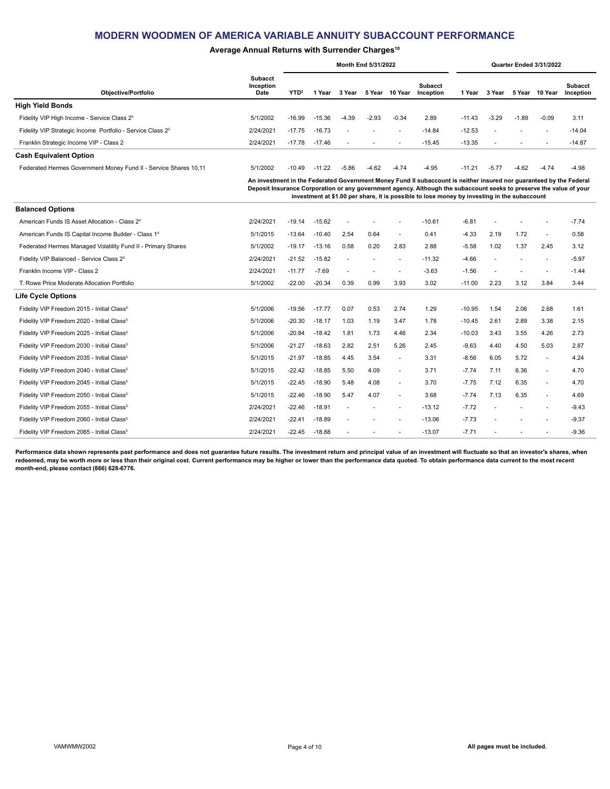### **Average Annual Returns with Surrender Charges10**

|                                                                        | <b>Month End 5/31/2022</b>          |                  |          |         |                |         |                             |          |         |                          | Quarter Ended 3/31/2022  |                      |
|------------------------------------------------------------------------|-------------------------------------|------------------|----------|---------|----------------|---------|-----------------------------|----------|---------|--------------------------|--------------------------|----------------------|
| Objective/Portfolio                                                    | <b>Subacct</b><br>Inception<br>Date | YTD <sup>2</sup> | Year     | 3 Year  | 5 Year         | 10 Year | <b>Subacct</b><br>Inception | l Year   | 3 Year  | 5 Year                   | 10 Year                  | Subacct<br>Inception |
| <b>High Yield Bonds</b>                                                |                                     |                  |          |         |                |         |                             |          |         |                          |                          |                      |
| Fidelity VIP High Income - Service Class 2 <sup>5</sup>                | 5/1/2002                            | $-16.99$         | $-15.36$ | $-4.39$ | $-2.93$        | $-0.34$ | 2.89                        | $-11.43$ | $-3.29$ | $-1.89$                  | $-0.09$                  | 3.11                 |
| Fidelity VIP Strategic Income Portfolio - Service Class 2 <sup>5</sup> | 2/24/2021                           | $-17.75$         | $-16.73$ |         |                | . .     | $-14.84$                    | $-12.53$ |         |                          | $\overline{\phantom{a}}$ | $-14.04$             |
| Franklin Strategic Income VIP - Class 2                                | 2/24/2021                           | $-17.78$         | $-17.46$ |         | $\overline{a}$ | $\sim$  | $-15.45$                    | $-13.35$ |         | $\overline{\phantom{a}}$ | $\overline{\phantom{a}}$ | $-14.87$             |
| <b>Cash Equivalent Option</b>                                          |                                     |                  |          |         |                |         |                             |          |         |                          |                          |                      |
| Federated Hermes Government Money Fund II - Service Shares 10,11       | 5/1/2002                            | $-10.49$         | $-11.22$ | $-5.86$ | $-4.62$        | $-4.74$ | $-4.95$                     | $-11.21$ | $-5.77$ | $-4.62$                  | $-4.74$                  | $-4.98$              |

**An investment in the Federated Government Money Fund II subaccount is neither insured nor guaranteed by the Federal Deposit Insurance Corporation or any government agency. Although the subaccount seeks to preserve the value of your investment at \$1.00 per share, it is possible to lose money by investing in the subaccount**

| <b>Balanced Options</b>                                         |           |          |          |      |                |                          |          |          |      |      |      |         |
|-----------------------------------------------------------------|-----------|----------|----------|------|----------------|--------------------------|----------|----------|------|------|------|---------|
| American Funds IS Asset Allocation - Class 2 <sup>4</sup>       | 2/24/2021 | $-19.14$ | $-15.62$ | ٠    |                | $\overline{\phantom{a}}$ | $-10.61$ | $-6.81$  |      |      |      | $-7.74$ |
| American Funds IS Capital Income Builder - Class 1 <sup>4</sup> | 5/1/2015  | $-13.64$ | $-10.40$ | 2.54 | 0.64           | ٠                        | 0.41     | $-4.33$  | 2.19 | 1.72 | ٠    | 0.58    |
| Federated Hermes Managed Volatility Fund II - Primary Shares    | 5/1/2002  | $-19.17$ | $-13.16$ | 0.58 | 0.20           | 2.83                     | 2.88     | $-5.58$  | 1.02 | 1.37 | 2.45 | 3.12    |
| Fidelity VIP Balanced - Service Class 2 <sup>5</sup>            | 2/24/2021 | $-21.52$ | $-15.82$ | ٠    | $\blacksquare$ |                          | $-11.32$ | $-4.66$  | ٠    |      | ٠    | $-5.97$ |
| Franklin Income VIP - Class 2                                   | 2/24/2021 | $-11.77$ | $-7.69$  | ٠    |                |                          | $-3.63$  | $-1.56$  | ٠    |      |      | $-1.44$ |
| T. Rowe Price Moderate Allocation Portfolio                     | 5/1/2002  | $-22.00$ | $-20.34$ | 0.39 | 0.99           | 3.93                     | 3.02     | $-11.00$ | 2.23 | 3.12 | 3.84 | 3.44    |
| <b>Life Cycle Options</b>                                       |           |          |          |      |                |                          |          |          |      |      |      |         |
| Fidelity VIP Freedom 2015 - Initial Class <sup>5</sup>          | 5/1/2006  | $-19.56$ | $-17.77$ | 0.07 | 0.53           | 2.74                     | 1.29     | $-10.95$ | 1.54 | 2.06 | 2.68 | 1.61    |
| Fidelity VIP Freedom 2020 - Initial Class <sup>5</sup>          | 5/1/2006  | $-20.30$ | $-18.17$ | 1.03 | 1.19           | 3.47                     | 1.78     | $-10.45$ | 2.61 | 2.89 | 3.38 | 2.15    |
| Fidelity VIP Freedom 2025 - Initial Class <sup>5</sup>          | 5/1/2006  | $-20.84$ | $-18.42$ | 1.81 | 1.73           | 4.46                     | 2.34     | $-10.03$ | 3.43 | 3.55 | 4.26 | 2.73    |
| Fidelity VIP Freedom 2030 - Initial Class <sup>5</sup>          | 5/1/2006  | $-21.27$ | $-18.63$ | 2.82 | 2.51           | 5.26                     | 2.45     | $-9.63$  | 4.40 | 4.50 | 5.03 | 2.87    |
| Fidelity VIP Freedom 2035 - Initial Class <sup>5</sup>          | 5/1/2015  | $-21.97$ | $-18.85$ | 4.45 | 3.54           | ٠                        | 3.31     | $-8.56$  | 6.05 | 5.72 | ٠    | 4.24    |
| Fidelity VIP Freedom 2040 - Initial Class <sup>5</sup>          | 5/1/2015  | $-22.42$ | $-18.85$ | 5.50 | 4.09           | $\sim$                   | 3.71     | $-7.74$  | 7.11 | 6.36 | ٠    | 4.70    |
| Fidelity VIP Freedom 2045 - Initial Class <sup>5</sup>          | 5/1/2015  | $-22.45$ | $-18.90$ | 5.48 | 4.08           | $\sim$                   | 3.70     | $-7.75$  | 7.12 | 6.35 | ٠    | 4.70    |
| Fidelity VIP Freedom 2050 - Initial Class <sup>5</sup>          | 5/1/2015  | $-22.46$ | $-18.90$ | 5.47 | 4.07           | $\sim$                   | 3.68     | $-7.74$  | 7.13 | 6.35 | ٠    | 4.69    |
| Fidelity VIP Freedom 2055 - Initial Class <sup>5</sup>          | 2/24/2021 | $-22.46$ | $-18.91$ |      |                | $\sim$                   | $-13.12$ | $-7.72$  |      |      | ٠    | $-9.43$ |
| Fidelity VIP Freedom 2060 - Initial Class <sup>5</sup>          | 2/24/2021 | $-22.41$ | $-18.89$ |      |                | ۰.                       | $-13.06$ | $-7.73$  |      |      | ٠    | $-9.37$ |
| Fidelity VIP Freedom 2065 - Initial Class <sup>5</sup>          | 2/24/2021 | $-22.45$ | $-18.88$ |      |                |                          | $-13.07$ | $-7.71$  |      |      |      | $-9.36$ |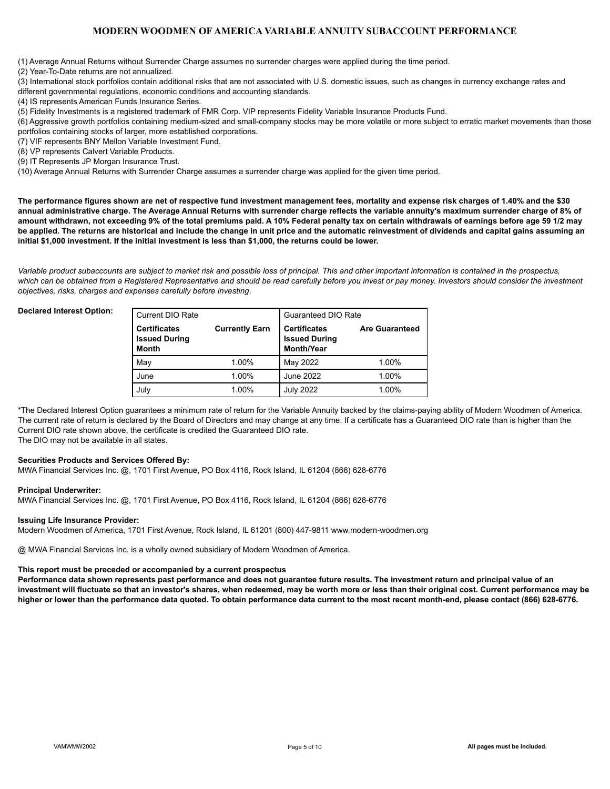(1) Average Annual Returns without Surrender Charge assumes no surrender charges were applied during the time period.

(2) Year-To-Date returns are not annualized.

(3) International stock portfolios contain additional risks that are not associated with U.S. domestic issues, such as changes in currency exchange rates and different governmental regulations, economic conditions and accounting standards.

(4) IS represents American Funds Insurance Series.

(5) Fidelity Investments is a registered trademark of FMR Corp. VIP represents Fidelity Variable Insurance Products Fund.

(6) Aggressive growth portfolios containing medium-sized and small-company stocks may be more volatile or more subject to erratic market movements than those portfolios containing stocks of larger, more established corporations.

(7) VIF represents BNY Mellon Variable Investment Fund.

(8) VP represents Calvert Variable Products.

(9) IT Represents JP Morgan Insurance Trust.

(10) Average Annual Returns with Surrender Charge assumes a surrender charge was applied for the given time period.

**The performance figures shown are net of respective fund investment management fees, mortality and expense risk charges of 1.40% and the \$30 annual administrative charge. The Average Annual Returns with surrender charge reflects the variable annuity's maximum surrender charge of 8% of amount withdrawn, not exceeding 9% of the total premiums paid. A 10% Federal penalty tax on certain withdrawals of earnings before age 59 1/2 may be applied. The returns are historical and include the change in unit price and the automatic reinvestment of dividends and capital gains assuming an initial \$1,000 investment. If the initial investment is less than \$1,000, the returns could be lower.**

*Variable product subaccounts are subject to market risk and possible loss of principal. This and other important information is contained in the prospectus,*  which can be obtained from a Registered Representative and should be read carefully before you invest or pay money. Investors should consider the investment *objectives, risks, charges and expenses carefully before investing*.

#### **Declared Interest Option:**

| l Current DIO Rate                                          |                       | <b>Guaranteed DIO Rate</b>                                       |                       |
|-------------------------------------------------------------|-----------------------|------------------------------------------------------------------|-----------------------|
| <b>Certificates</b><br><b>Issued During</b><br><b>Month</b> | <b>Currently Earn</b> | <b>Certificates</b><br><b>Issued During</b><br><b>Month/Year</b> | <b>Are Guaranteed</b> |
| May                                                         | 1.00%                 | May 2022                                                         | 1.00%                 |
| June                                                        | 1.00%                 | June 2022                                                        | 1.00%                 |
| July                                                        | 1.00%                 | <b>July 2022</b>                                                 | 1.00%                 |

\*The Declared Interest Option guarantees a minimum rate of return for the Variable Annuity backed by the claims-paying ability of Modern Woodmen of America. The current rate of return is declared by the Board of Directors and may change at any time. If a certificate has a Guaranteed DIO rate than is higher than the Current DIO rate shown above, the certificate is credited the Guaranteed DIO rate. The DIO may not be available in all states.

#### **Securities Products and Services Offered By:**

MWA Financial Services Inc. @, 1701 First Avenue, PO Box 4116, Rock Island, IL 61204 (866) 628-6776

#### **Principal Underwriter:**

MWA Financial Services Inc. @, 1701 First Avenue, PO Box 4116, Rock Island, IL 61204 (866) 628-6776

#### **Issuing Life Insurance Provider:**

Modern Woodmen of America, 1701 First Avenue, Rock Island, IL 61201 (800) 447-9811 www.modern-woodmen.org

@ MWA Financial Services Inc. is a wholly owned subsidiary of Modern Woodmen of America.

#### **This report must be preceded or accompanied by a current prospectus**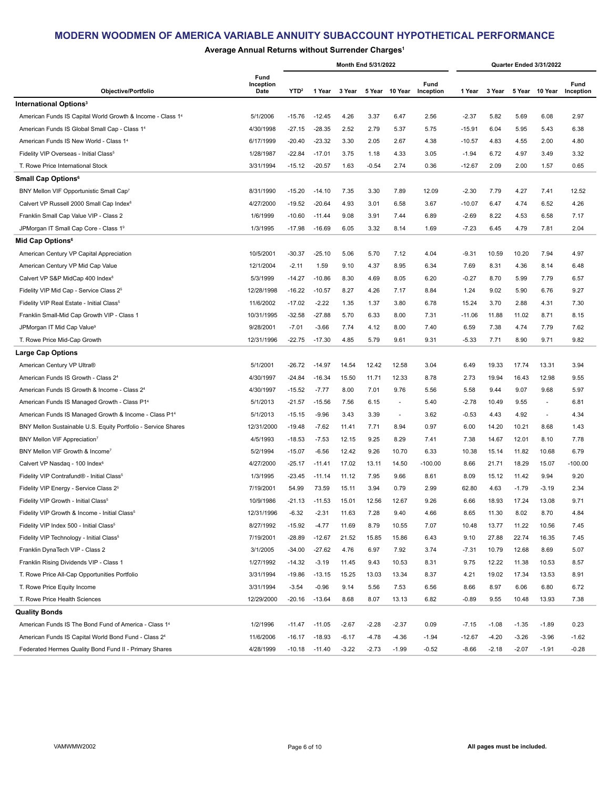## **Average Annual Returns without Surrender Charges1**

|                                                                   |                           |                  |          |         | Month End 5/31/2022 |                          |                   |          |         |         | Quarter Ended 3/31/2022 |                   |
|-------------------------------------------------------------------|---------------------------|------------------|----------|---------|---------------------|--------------------------|-------------------|----------|---------|---------|-------------------------|-------------------|
| Objective/Portfolio                                               | Fund<br>Inception<br>Date | YTD <sup>2</sup> | 1 Year   | 3 Year  |                     | 5 Year 10 Year           | Fund<br>Inception | 1 Year   | 3 Year  |         | 5 Year 10 Year          | Fund<br>Inception |
| International Options <sup>3</sup>                                |                           |                  |          |         |                     |                          |                   |          |         |         |                         |                   |
| American Funds IS Capital World Growth & Income - Class 14        | 5/1/2006                  | $-15.76$         | $-12.45$ | 4.26    | 3.37                | 6.47                     | 2.56              | $-2.37$  | 5.82    | 5.69    | 6.08                    | 2.97              |
| American Funds IS Global Small Cap - Class 14                     | 4/30/1998                 | $-27.15$         | $-28.35$ | 2.52    | 2.79                | 5.37                     | 5.75              | $-15.91$ | 6.04    | 5.95    | 5.43                    | 6.38              |
| American Funds IS New World - Class 1 <sup>4</sup>                | 6/17/1999                 | $-20.40$         | $-23.32$ | 3.30    | 2.05                | 2.67                     | 4.38              | $-10.57$ | 4.83    | 4.55    | 2.00                    | 4.80              |
| Fidelity VIP Overseas - Initial Class <sup>5</sup>                | 1/28/1987                 | $-22.84$         | $-17.01$ | 3.75    | 1.18                | 4.33                     | 3.05              | $-1.94$  | 6.72    | 4.97    | 3.49                    | 3.32              |
| T. Rowe Price International Stock                                 | 3/31/1994                 | $-15.12$         | $-20.57$ | 1.63    | $-0.54$             | 2.74                     | 0.36              | $-12.67$ | 2.09    | 2.00    | 1.57                    | 0.65              |
| Small Cap Options <sup>6</sup>                                    |                           |                  |          |         |                     |                          |                   |          |         |         |                         |                   |
| BNY Mellon VIF Opportunistic Small Cap7                           | 8/31/1990                 | $-15.20$         | $-14.10$ | 7.35    | 3.30                | 7.89                     | 12.09             | $-2.30$  | 7.79    | 4.27    | 7.41                    | 12.52             |
| Calvert VP Russell 2000 Small Cap Index <sup>8</sup>              | 4/27/2000                 | $-19.52$         | $-20.64$ | 4.93    | 3.01                | 6.58                     | 3.67              | $-10.07$ | 6.47    | 4.74    | 6.52                    | 4.26              |
| Franklin Small Cap Value VIP - Class 2                            | 1/6/1999                  | $-10.60$         | $-11.44$ | 9.08    | 3.91                | 7.44                     | 6.89              | $-2.69$  | 8.22    | 4.53    | 6.58                    | 7.17              |
| JPMorgan IT Small Cap Core - Class 19                             | 1/3/1995                  | $-17.98$         | $-16.69$ | 6.05    | 3.32                | 8.14                     | 1.69              | $-7.23$  | 6.45    | 4.79    | 7.81                    | 2.04              |
| Mid Cap Options <sup>6</sup>                                      |                           |                  |          |         |                     |                          |                   |          |         |         |                         |                   |
| American Century VP Capital Appreciation                          | 10/5/2001                 | $-30.37$         | $-25.10$ | 5.06    | 5.70                | 7.12                     | 4.04              | $-9.31$  | 10.59   | 10.20   | 7.94                    | 4.97              |
| American Century VP Mid Cap Value                                 | 12/1/2004                 | $-2.11$          | 1.59     | 9.10    | 4.37                | 8.95                     | 6.34              | 7.69     | 8.31    | 4.36    | 8.14                    | 6.48              |
| Calvert VP S&P MidCap 400 Index <sup>8</sup>                      | 5/3/1999                  | $-14.27$         | $-10.86$ | 8.30    | 4.69                | 8.05                     | 6.20              | $-0.27$  | 8.70    | 5.99    | 7.79                    | 6.57              |
| Fidelity VIP Mid Cap - Service Class 2 <sup>5</sup>               | 12/28/1998                | $-16.22$         | $-10.57$ | 8.27    | 4.26                | 7.17                     | 8.84              | 1.24     | 9.02    | 5.90    | 6.76                    | 9.27              |
| Fidelity VIP Real Estate - Initial Class <sup>5</sup>             | 11/6/2002                 | $-17.02$         | $-2.22$  | 1.35    | 1.37                | 3.80                     | 6.78              | 15.24    | 3.70    | 2.88    | 4.31                    | 7.30              |
| Franklin Small-Mid Cap Growth VIP - Class 1                       | 10/31/1995                | $-32.58$         | $-27.88$ | 5.70    | 6.33                | 8.00                     | 7.31              | $-11.06$ | 11.88   | 11.02   | 8.71                    | 8.15              |
| JPMorgan IT Mid Cap Value <sup>9</sup>                            | 9/28/2001                 | $-7.01$          | $-3.66$  | 7.74    | 4.12                | 8.00                     | 7.40              | 6.59     | 7.38    | 4.74    | 7.79                    | 7.62              |
| T. Rowe Price Mid-Cap Growth                                      | 12/31/1996                | $-22.75$         | $-17.30$ | 4.85    | 5.79                | 9.61                     | 9.31              | $-5.33$  | 7.71    | 8.90    | 9.71                    | 9.82              |
| <b>Large Cap Options</b>                                          |                           |                  |          |         |                     |                          |                   |          |         |         |                         |                   |
| American Century VP Ultra®                                        | 5/1/2001                  | $-26.72$         | $-14.97$ | 14.54   | 12.42               | 12.58                    | 3.04              | 6.49     | 19.33   | 17.74   | 13.31                   | 3.94              |
| American Funds IS Growth - Class 24                               | 4/30/1997                 | $-24.84$         | $-16.34$ | 15.50   | 11.71               | 12.33                    | 8.78              | 2.73     | 19.94   | 16.43   | 12.98                   | 9.55              |
| American Funds IS Growth & Income - Class 24                      | 4/30/1997                 | $-15.52$         | $-7.77$  | 8.00    | 7.01                | 9.76                     | 5.56              | 5.58     | 9.44    | 9.07    | 9.68                    | 5.97              |
| American Funds IS Managed Growth - Class P1 <sup>4</sup>          | 5/1/2013                  | $-21.57$         | $-15.56$ | 7.56    | 6.15                | $\overline{\phantom{a}}$ | 5.40              | $-2.78$  | 10.49   | 9.55    | $\blacksquare$          | 6.81              |
| American Funds IS Managed Growth & Income - Class P1 <sup>4</sup> | 5/1/2013                  | $-15.15$         | $-9.96$  | 3.43    | 3.39                | $\overline{\phantom{a}}$ | 3.62              | $-0.53$  | 4.43    | 4.92    | ÷.                      | 4.34              |
| BNY Mellon Sustainable U.S. Equity Portfolio - Service Shares     | 12/31/2000                | $-19.48$         | $-7.62$  | 11.41   | 7.71                | 8.94                     | 0.97              | 6.00     | 14.20   | 10.21   | 8.68                    | 1.43              |
| BNY Mellon VIF Appreciation7                                      | 4/5/1993                  | $-18.53$         | $-7.53$  | 12.15   | 9.25                | 8.29                     | 7.41              | 7.38     | 14.67   | 12.01   | 8.10                    | 7.78              |
| BNY Mellon VIF Growth & Income <sup>7</sup>                       | 5/2/1994                  | $-15.07$         | $-6.56$  | 12.42   | 9.26                | 10.70                    | 6.33              | 10.38    | 15.14   | 11.82   | 10.68                   | 6.79              |
| Calvert VP Nasdaq - 100 Index <sup>8</sup>                        | 4/27/2000                 | $-25.17$         | $-11.41$ | 17.02   | 13.11               | 14.50                    | $-100.00$         | 8.66     | 21.71   | 18.29   | 15.07                   | $-100.00$         |
| Fidelity VIP Contrafund® - Initial Class <sup>5</sup>             | 1/3/1995                  | $-23.45$         | $-11.14$ | 11.12   | 7.95                | 9.66                     | 8.61              | 8.09     | 15.12   | 11.42   | 9.94                    | 9.20              |
| Fidelity VIP Energy - Service Class 2 <sup>5</sup>                | 7/19/2001                 | 54.99            | 73.59    | 15.11   | 3.94                | 0.79                     | 2.99              | 62.80    | 4.63    | $-1.79$ | -3.19                   | 2.34              |
| Fidelity VIP Growth - Initial Class <sup>5</sup>                  | 10/9/1986                 | $-21.13$         | $-11.53$ | 15.01   | 12.56               | 12.67                    | 9.26              | 6.66     | 18.93   | 17.24   | 13.08                   | 9.71              |
| Fidelity VIP Growth & Income - Initial Class <sup>5</sup>         | 12/31/1996                | $-6.32$          | $-2.31$  | 11.63   | 7.28                | 9.40                     | 4.66              | 8.65     | 11.30   | 8.02    | 8.70                    | 4.84              |
| Fidelity VIP Index 500 - Initial Class <sup>5</sup>               | 8/27/1992                 | $-15.92$         | $-4.77$  | 11.69   | 8.79                | 10.55                    | 7.07              | 10.48    | 13.77   | 11.22   | 10.56                   | 7.45              |
| Fidelity VIP Technology - Initial Class <sup>5</sup>              | 7/19/2001                 | $-28.89$         | $-12.67$ | 21.52   | 15.85               | 15.86                    | 6.43              | 9.10     | 27.88   | 22.74   | 16.35                   | 7.45              |
| Franklin DynaTech VIP - Class 2                                   | 3/1/2005                  | $-34.00$         | $-27.62$ | 4.76    | 6.97                | 7.92                     | 3.74              | $-7.31$  | 10.79   | 12.68   | 8.69                    | 5.07              |
| Franklin Rising Dividends VIP - Class 1                           | 1/27/1992                 | $-14.32$         | $-3.19$  | 11.45   | 9.43                | 10.53                    | 8.31              | 9.75     | 12.22   | 11.38   | 10.53                   | 8.57              |
| T. Rowe Price All-Cap Opportunities Portfolio                     | 3/31/1994                 | $-19.86$         | $-13.15$ | 15.25   | 13.03               | 13.34                    | 8.37              | 4.21     | 19.02   | 17.34   | 13.53                   | 8.91              |
| T. Rowe Price Equity Income                                       | 3/31/1994                 | $-3.54$          | $-0.96$  | 9.14    | 5.56                | 7.53                     | 6.56              | 8.66     | 8.97    | 6.06    | 6.80                    | 6.72              |
| T. Rowe Price Health Sciences                                     | 12/29/2000                | $-20.16$         | $-13.64$ | 8.68    | 8.07                | 13.13                    | 6.82              | $-0.89$  | 9.55    | 10.48   | 13.93                   | 7.38              |
| Quality Bonds                                                     |                           |                  |          |         |                     |                          |                   |          |         |         |                         |                   |
| American Funds IS The Bond Fund of America - Class 1 <sup>4</sup> | 1/2/1996                  | $-11.47$         | $-11.05$ | $-2.67$ | $-2.28$             | $-2.37$                  | 0.09              | $-7.15$  | $-1.08$ | $-1.35$ | $-1.89$                 | 0.23              |
| American Funds IS Capital World Bond Fund - Class 24              | 11/6/2006                 | $-16.17$         | $-18.93$ | $-6.17$ | $-4.78$             | $-4.36$                  | $-1.94$           | $-12.67$ | $-4.20$ | $-3.26$ | $-3.96$                 | $-1.62$           |
| Federated Hermes Quality Bond Fund II - Primary Shares            | 4/28/1999                 | $-10.18$         | $-11.40$ | $-3.22$ | $-2.73$             | $-1.99$                  | $-0.52$           | $-8.66$  | $-2.18$ | $-2.07$ | $-1.91$                 | $-0.28$           |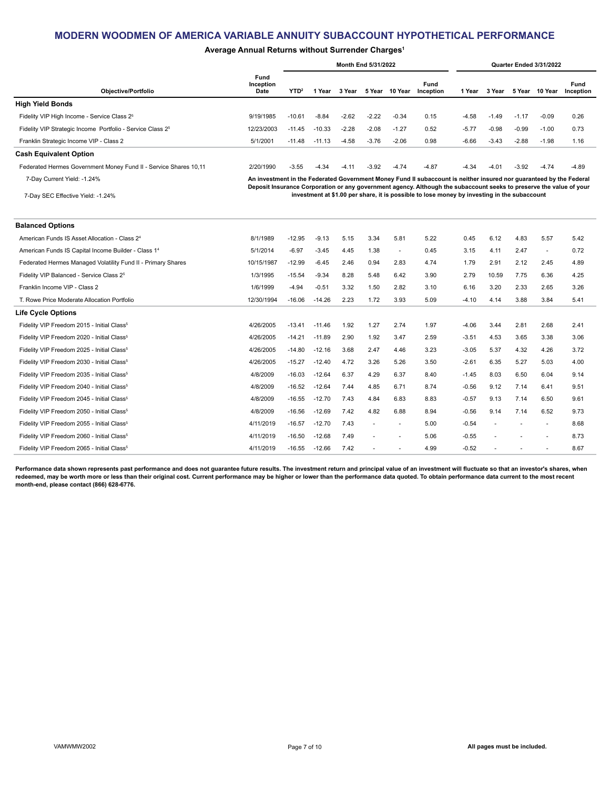### **Average Annual Returns without Surrender Charges1**

|                                                                        | <b>Month End 5/31/2022</b> |                  |          |         |         |         |                                                                                                                                                                                                                                            |         |         | Quarter Ended 3/31/2022 |                |                          |
|------------------------------------------------------------------------|----------------------------|------------------|----------|---------|---------|---------|--------------------------------------------------------------------------------------------------------------------------------------------------------------------------------------------------------------------------------------------|---------|---------|-------------------------|----------------|--------------------------|
| Objective/Portfolio                                                    | Fund<br>Inception<br>Date  | YTD <sup>2</sup> | l Year   | 3 Year  | 5 Year  | 10 Year | Fund<br>Inception                                                                                                                                                                                                                          | 1 Year  | 3 Year  |                         | 5 Year 10 Year | <b>Fund</b><br>Inception |
| <b>High Yield Bonds</b>                                                |                            |                  |          |         |         |         |                                                                                                                                                                                                                                            |         |         |                         |                |                          |
| Fidelity VIP High Income - Service Class 2 <sup>5</sup>                | 9/19/1985                  | $-10.61$         | $-8.84$  | $-2.62$ | $-2.22$ | $-0.34$ | 0.15                                                                                                                                                                                                                                       | $-4.58$ | $-1.49$ | $-1.17$                 | $-0.09$        | 0.26                     |
| Fidelity VIP Strategic Income Portfolio - Service Class 2 <sup>5</sup> | 12/23/2003                 | $-11.45$         | $-10.33$ | $-2.28$ | $-2.08$ | $-1.27$ | 0.52                                                                                                                                                                                                                                       | $-5.77$ | $-0.98$ | $-0.99$                 | $-1.00$        | 0.73                     |
| Franklin Strategic Income VIP - Class 2                                | 5/1/2001                   | $-11.48$         | $-11.13$ | $-4.58$ | $-3.76$ | $-2.06$ | 0.98                                                                                                                                                                                                                                       | $-6.66$ | $-3.43$ | $-2.88$                 | $-1.98$        | 1.16                     |
| <b>Cash Equivalent Option</b>                                          |                            |                  |          |         |         |         |                                                                                                                                                                                                                                            |         |         |                         |                |                          |
| Federated Hermes Government Money Fund II - Service Shares 10,11       | 2/20/1990                  | $-3.55$          | $-4.34$  | $-4.11$ | $-3.92$ | $-4.74$ | $-4.87$                                                                                                                                                                                                                                    | $-4.34$ | $-4.01$ | $-3.92$                 | $-4.74$        | $-4.89$                  |
| 7-Day Current Yield: -1.24%                                            |                            |                  |          |         |         |         | An investment in the Federated Government Money Fund II subaccount is neither insured nor guaranteed by the Federal<br>Deposit Insurance Corporation or any government agency. Although the subaccount seeks to preserve the value of your |         |         |                         |                |                          |
| 7-Day SEC Effective Yield: -1.24%                                      |                            |                  |          |         |         |         | investment at \$1.00 per share, it is possible to lose money by investing in the subaccount                                                                                                                                                |         |         |                         |                |                          |

| <b>Balanced Options</b>                                         |            |          |          |      |      |      |      |         |       |      |      |      |
|-----------------------------------------------------------------|------------|----------|----------|------|------|------|------|---------|-------|------|------|------|
| American Funds IS Asset Allocation - Class 2 <sup>4</sup>       | 8/1/1989   | $-12.95$ | $-9.13$  | 5.15 | 3.34 | 5.81 | 5.22 | 0.45    | 6.12  | 4.83 | 5.57 | 5.42 |
| American Funds IS Capital Income Builder - Class 1 <sup>4</sup> | 5/1/2014   | $-6.97$  | $-3.45$  | 4.45 | 1.38 |      | 0.45 | 3.15    | 4.11  | 2.47 |      | 0.72 |
| Federated Hermes Managed Volatility Fund II - Primary Shares    | 10/15/1987 | $-12.99$ | $-6.45$  | 2.46 | 0.94 | 2.83 | 4.74 | 1.79    | 2.91  | 2.12 | 2.45 | 4.89 |
| Fidelity VIP Balanced - Service Class 2 <sup>5</sup>            | 1/3/1995   | $-15.54$ | $-9.34$  | 8.28 | 5.48 | 6.42 | 3.90 | 2.79    | 10.59 | 7.75 | 6.36 | 4.25 |
| Franklin Income VIP - Class 2                                   | 1/6/1999   | $-4.94$  | $-0.51$  | 3.32 | 1.50 | 2.82 | 3.10 | 6.16    | 3.20  | 2.33 | 2.65 | 3.26 |
| T. Rowe Price Moderate Allocation Portfolio                     | 12/30/1994 | $-16.06$ | $-14.26$ | 2.23 | 1.72 | 3.93 | 5.09 | $-4.10$ | 4.14  | 3.88 | 3.84 | 5.41 |
| <b>Life Cycle Options</b>                                       |            |          |          |      |      |      |      |         |       |      |      |      |
| Fidelity VIP Freedom 2015 - Initial Class <sup>5</sup>          | 4/26/2005  | $-13.41$ | $-11.46$ | 1.92 | 1.27 | 2.74 | 1.97 | $-4.06$ | 3.44  | 2.81 | 2.68 | 2.41 |
| Fidelity VIP Freedom 2020 - Initial Class <sup>5</sup>          | 4/26/2005  | $-14.21$ | $-11.89$ | 2.90 | 1.92 | 3.47 | 2.59 | $-3.51$ | 4.53  | 3.65 | 3.38 | 3.06 |
| Fidelity VIP Freedom 2025 - Initial Class <sup>5</sup>          | 4/26/2005  | $-14.80$ | $-12.16$ | 3.68 | 2.47 | 4.46 | 3.23 | $-3.05$ | 5.37  | 4.32 | 4.26 | 3.72 |
| Fidelity VIP Freedom 2030 - Initial Class <sup>5</sup>          | 4/26/2005  | $-15.27$ | $-12.40$ | 4.72 | 3.26 | 5.26 | 3.50 | $-2.61$ | 6.35  | 5.27 | 5.03 | 4.00 |
| Fidelity VIP Freedom 2035 - Initial Class <sup>5</sup>          | 4/8/2009   | $-16.03$ | $-12.64$ | 6.37 | 4.29 | 6.37 | 8.40 | $-1.45$ | 8.03  | 6.50 | 6.04 | 9.14 |
| Fidelity VIP Freedom 2040 - Initial Class <sup>5</sup>          | 4/8/2009   | $-16.52$ | $-12.64$ | 7.44 | 4.85 | 6.71 | 8.74 | $-0.56$ | 9.12  | 7.14 | 6.41 | 9.51 |
| Fidelity VIP Freedom 2045 - Initial Class <sup>5</sup>          | 4/8/2009   | $-16.55$ | $-12.70$ | 7.43 | 4.84 | 6.83 | 8.83 | $-0.57$ | 9.13  | 7.14 | 6.50 | 9.61 |
| Fidelity VIP Freedom 2050 - Initial Class <sup>5</sup>          | 4/8/2009   | $-16.56$ | $-12.69$ | 7.42 | 4.82 | 6.88 | 8.94 | $-0.56$ | 9.14  | 7.14 | 6.52 | 9.73 |
| Fidelity VIP Freedom 2055 - Initial Class <sup>5</sup>          | 4/11/2019  | $-16.57$ | $-12.70$ | 7.43 | ٠    | ٠    | 5.00 | $-0.54$ | ٠     |      |      | 8.68 |
| Fidelity VIP Freedom 2060 - Initial Class <sup>5</sup>          | 4/11/2019  | $-16.50$ | $-12.68$ | 7.49 | ٠    | ٠    | 5.06 | $-0.55$ | ٠     |      |      | 8.73 |
| Fidelity VIP Freedom 2065 - Initial Class <sup>5</sup>          | 4/11/2019  | $-16.55$ | $-12.66$ | 7.42 |      |      | 4.99 | $-0.52$ |       |      |      | 8.67 |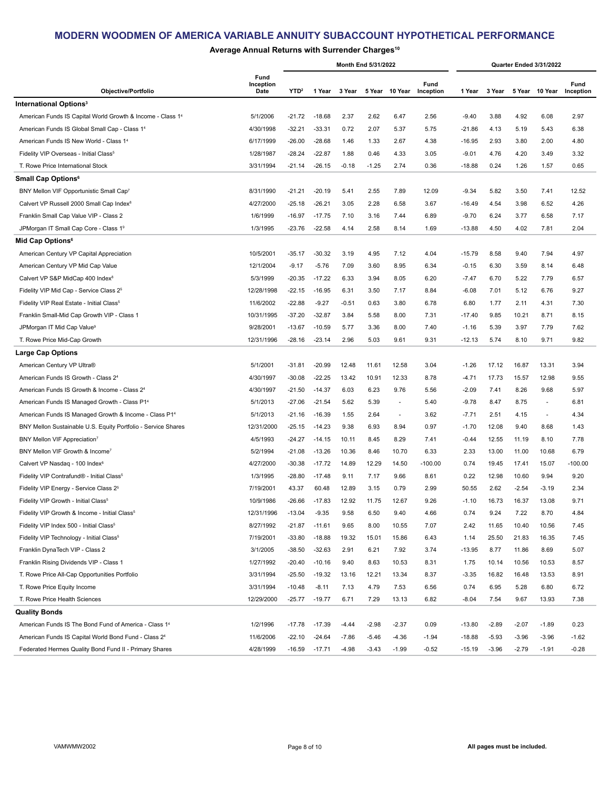## **Average Annual Returns with Surrender Charges10**

|                                                                   |                           |                  |          |         | Month End 5/31/2022 |                          |                   |          |         |         | Quarter Ended 3/31/2022  |                   |
|-------------------------------------------------------------------|---------------------------|------------------|----------|---------|---------------------|--------------------------|-------------------|----------|---------|---------|--------------------------|-------------------|
| Objective/Portfolio                                               | Fund<br>Inception<br>Date | YTD <sup>2</sup> | 1 Year   | 3 Year  |                     | 5 Year 10 Year           | Fund<br>Inception | 1 Year   | 3 Year  |         | 5 Year 10 Year           | Fund<br>Inception |
| <b>International Options<sup>3</sup></b>                          |                           |                  |          |         |                     |                          |                   |          |         |         |                          |                   |
| American Funds IS Capital World Growth & Income - Class 14        | 5/1/2006                  | $-21.72$         | $-18.68$ | 2.37    | 2.62                | 6.47                     | 2.56              | $-9.40$  | 3.88    | 4.92    | 6.08                     | 2.97              |
| American Funds IS Global Small Cap - Class 14                     | 4/30/1998                 | $-32.21$         | $-33.31$ | 0.72    | 2.07                | 5.37                     | 5.75              | $-21.86$ | 4.13    | 5.19    | 5.43                     | 6.38              |
| American Funds IS New World - Class 1 <sup>4</sup>                | 6/17/1999                 | $-26.00$         | $-28.68$ | 1.46    | 1.33                | 2.67                     | 4.38              | $-16.95$ | 2.93    | 3.80    | 2.00                     | 4.80              |
| Fidelity VIP Overseas - Initial Class <sup>5</sup>                | 1/28/1987                 | $-28.24$         | $-22.87$ | 1.88    | 0.46                | 4.33                     | 3.05              | $-9.01$  | 4.76    | 4.20    | 3.49                     | 3.32              |
| T. Rowe Price International Stock                                 | 3/31/1994                 | $-21.14$         | $-26.15$ | $-0.18$ | $-1.25$             | 2.74                     | 0.36              | $-18.88$ | 0.24    | 1.26    | 1.57                     | 0.65              |
| Small Cap Options <sup>6</sup>                                    |                           |                  |          |         |                     |                          |                   |          |         |         |                          |                   |
| BNY Mellon VIF Opportunistic Small Cap7                           | 8/31/1990                 | $-21.21$         | $-20.19$ | 5.41    | 2.55                | 7.89                     | 12.09             | $-9.34$  | 5.82    | 3.50    | 7.41                     | 12.52             |
| Calvert VP Russell 2000 Small Cap Index <sup>8</sup>              | 4/27/2000                 | $-25.18$         | $-26.21$ | 3.05    | 2.28                | 6.58                     | 3.67              | $-16.49$ | 4.54    | 3.98    | 6.52                     | 4.26              |
| Franklin Small Cap Value VIP - Class 2                            | 1/6/1999                  | $-16.97$         | $-17.75$ | 7.10    | 3.16                | 7.44                     | 6.89              | $-9.70$  | 6.24    | 3.77    | 6.58                     | 7.17              |
| JPMorgan IT Small Cap Core - Class 19                             | 1/3/1995                  | $-23.76$         | $-22.58$ | 4.14    | 2.58                | 8.14                     | 1.69              | $-13.88$ | 4.50    | 4.02    | 7.81                     | 2.04              |
| Mid Cap Options <sup>6</sup>                                      |                           |                  |          |         |                     |                          |                   |          |         |         |                          |                   |
| American Century VP Capital Appreciation                          | 10/5/2001                 | $-35.17$         | $-30.32$ | 3.19    | 4.95                | 7.12                     | 4.04              | $-15.79$ | 8.58    | 9.40    | 7.94                     | 4.97              |
| American Century VP Mid Cap Value                                 | 12/1/2004                 | $-9.17$          | $-5.76$  | 7.09    | 3.60                | 8.95                     | 6.34              | $-0.15$  | 6.30    | 3.59    | 8.14                     | 6.48              |
| Calvert VP S&P MidCap 400 Index <sup>8</sup>                      | 5/3/1999                  | $-20.35$         | $-17.22$ | 6.33    | 3.94                | 8.05                     | 6.20              | -7.47    | 6.70    | 5.22    | 7.79                     | 6.57              |
| Fidelity VIP Mid Cap - Service Class 2 <sup>5</sup>               | 12/28/1998                | $-22.15$         | $-16.95$ | 6.31    | 3.50                | 7.17                     | 8.84              | $-6.08$  | 7.01    | 5.12    | 6.76                     | 9.27              |
| Fidelity VIP Real Estate - Initial Class <sup>5</sup>             | 11/6/2002                 | $-22.88$         | $-9.27$  | $-0.51$ | 0.63                | 3.80                     | 6.78              | 6.80     | 1.77    | 2.11    | 4.31                     | 7.30              |
| Franklin Small-Mid Cap Growth VIP - Class 1                       | 10/31/1995                | $-37.20$         | $-32.87$ | 3.84    | 5.58                | 8.00                     | 7.31              | $-17.40$ | 9.85    | 10.21   | 8.71                     | 8.15              |
| JPMorgan IT Mid Cap Value <sup>9</sup>                            | 9/28/2001                 | $-13.67$         | $-10.59$ | 5.77    | 3.36                | 8.00                     | 7.40              | $-1.16$  | 5.39    | 3.97    | 7.79                     | 7.62              |
| T. Rowe Price Mid-Cap Growth                                      | 12/31/1996                | $-28.16$         | $-23.14$ | 2.96    | 5.03                | 9.61                     | 9.31              | $-12.13$ | 5.74    | 8.10    | 9.71                     | 9.82              |
| <b>Large Cap Options</b>                                          |                           |                  |          |         |                     |                          |                   |          |         |         |                          |                   |
| American Century VP Ultra®                                        | 5/1/2001                  | $-31.81$         | $-20.99$ | 12.48   | 11.61               | 12.58                    | 3.04              | $-1.26$  | 17.12   | 16.87   | 13.31                    | 3.94              |
| American Funds IS Growth - Class 24                               | 4/30/1997                 | $-30.08$         | $-22.25$ | 13.42   | 10.91               | 12.33                    | 8.78              | -4.71    | 17.73   | 15.57   | 12.98                    | 9.55              |
| American Funds IS Growth & Income - Class 24                      | 4/30/1997                 | $-21.50$         | $-14.37$ | 6.03    | 6.23                | 9.76                     | 5.56              | $-2.09$  | 7.41    | 8.26    | 9.68                     | 5.97              |
| American Funds IS Managed Growth - Class P1 <sup>4</sup>          | 5/1/2013                  | $-27.06$         | $-21.54$ | 5.62    | 5.39                | $\overline{\phantom{a}}$ | 5.40              | $-9.78$  | 8.47    | 8.75    | $\overline{\phantom{a}}$ | 6.81              |
| American Funds IS Managed Growth & Income - Class P1 <sup>4</sup> | 5/1/2013                  | $-21.16$         | $-16.39$ | 1.55    | 2.64                | $\overline{\phantom{a}}$ | 3.62              | $-7.71$  | 2.51    | 4.15    | $\overline{\phantom{a}}$ | 4.34              |
| BNY Mellon Sustainable U.S. Equity Portfolio - Service Shares     | 12/31/2000                | $-25.15$         | $-14.23$ | 9.38    | 6.93                | 8.94                     | 0.97              | $-1.70$  | 12.08   | 9.40    | 8.68                     | 1.43              |
| BNY Mellon VIF Appreciation7                                      | 4/5/1993                  | $-24.27$         | $-14.15$ | 10.11   | 8.45                | 8.29                     | 7.41              | $-0.44$  | 12.55   | 11.19   | 8.10                     | 7.78              |
| BNY Mellon VIF Growth & Income <sup>7</sup>                       | 5/2/1994                  | $-21.08$         | $-13.26$ | 10.36   | 8.46                | 10.70                    | 6.33              | 2.33     | 13.00   | 11.00   | 10.68                    | 6.79              |
| Calvert VP Nasdag - 100 Index <sup>8</sup>                        | 4/27/2000                 | $-30.38$         | $-17.72$ | 14.89   | 12.29               | 14.50                    | $-100.00$         | 0.74     | 19.45   | 17.41   | 15.07                    | $-100.00$         |
| Fidelity VIP Contrafund® - Initial Class <sup>5</sup>             | 1/3/1995                  | $-28.80$         | $-17.48$ | 9.11    | 7.17                | 9.66                     | 8.61              | 0.22     | 12.98   | 10.60   | 9.94                     | 9.20              |
| Fidelity VIP Energy - Service Class 2 <sup>5</sup>                | 7/19/2001                 | 43.37            | 60.48    | 12.89   | 3.15                | 0.79                     | 2.99              | 50.55    | 2.62    | $-2.54$ | -3.19                    | 2.34              |
| Fidelity VIP Growth - Initial Class <sup>5</sup>                  | 10/9/1986                 | $-26.66$         | $-17.83$ | 12.92   | 11.75               | 12.67                    | 9.26              | $-1.10$  | 16.73   | 16.37   | 13.08                    | 9.71              |
| Fidelity VIP Growth & Income - Initial Class <sup>5</sup>         | 12/31/1996                | $-13.04$         | $-9.35$  | 9.58    | 6.50                | 9.40                     | 4.66              | 0.74     | 9.24    | 7.22    | 8.70                     | 4.84              |
| Fidelity VIP Index 500 - Initial Class <sup>5</sup>               | 8/27/1992                 | $-21.87$         | $-11.61$ | 9.65    | 8.00                | 10.55                    | 7.07              | 2.42     | 11.65   | 10.40   | 10.56                    | 7.45              |
| Fidelity VIP Technology - Initial Class <sup>5</sup>              | 7/19/2001                 | $-33.80$         | $-18.88$ | 19.32   | 15.01               | 15.86                    | 6.43              | 1.14     | 25.50   | 21.83   | 16.35                    | 7.45              |
| Franklin DynaTech VIP - Class 2                                   | 3/1/2005                  | $-38.50$         | $-32.63$ | 2.91    | 6.21                | 7.92                     | 3.74              | $-13.95$ | 8.77    | 11.86   | 8.69                     | 5.07              |
| Franklin Rising Dividends VIP - Class 1                           | 1/27/1992                 | $-20.40$         | $-10.16$ | 9.40    | 8.63                | 10.53                    | 8.31              | 1.75     | 10.14   | 10.56   | 10.53                    | 8.57              |
| T. Rowe Price All-Cap Opportunities Portfolio                     | 3/31/1994                 | $-25.50$         | $-19.32$ | 13.16   | 12.21               | 13.34                    | 8.37              | $-3.35$  | 16.82   | 16.48   | 13.53                    | 8.91              |
| T. Rowe Price Equity Income                                       | 3/31/1994                 | $-10.48$         | $-8.11$  | 7.13    | 4.79                | 7.53                     | 6.56              | 0.74     | 6.95    | 5.28    | 6.80                     | 6.72              |
| T. Rowe Price Health Sciences                                     | 12/29/2000                | $-25.77$         | $-19.77$ | 6.71    | 7.29                | 13.13                    | 6.82              | $-8.04$  | 7.54    | 9.67    | 13.93                    | 7.38              |
| <b>Quality Bonds</b>                                              |                           |                  |          |         |                     |                          |                   |          |         |         |                          |                   |
| American Funds IS The Bond Fund of America - Class 14             | 1/2/1996                  | $-17.78$         | $-17.39$ | $-4.44$ | $-2.98$             | $-2.37$                  | 0.09              | $-13.80$ | $-2.89$ | $-2.07$ | $-1.89$                  | 0.23              |
| American Funds IS Capital World Bond Fund - Class 24              | 11/6/2006                 | $-22.10$         | $-24.64$ | $-7.86$ | $-5.46$             | $-4.36$                  | $-1.94$           | $-18.88$ | $-5.93$ | $-3.96$ | $-3.96$                  | $-1.62$           |
| Federated Hermes Quality Bond Fund II - Primary Shares            | 4/28/1999                 | $-16.59$         | $-17.71$ | $-4.98$ | $-3.43$             | $-1.99$                  | $-0.52$           | $-15.19$ | $-3.96$ | $-2.79$ | $-1.91$                  | $-0.28$           |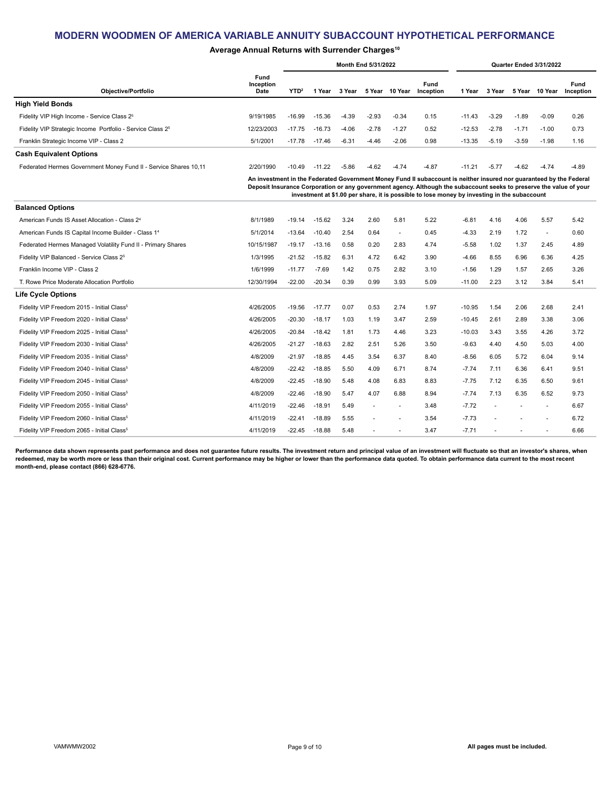### Average Annual Returns with Surrender Charges<sup>10</sup>

|                                                                        |                           |                  |          |         | Month End 5/31/2022 |                |                                                                                                                                                                                                                                                                                                                                           |          |         |         | Quarter Ended 3/31/2022 |                   |
|------------------------------------------------------------------------|---------------------------|------------------|----------|---------|---------------------|----------------|-------------------------------------------------------------------------------------------------------------------------------------------------------------------------------------------------------------------------------------------------------------------------------------------------------------------------------------------|----------|---------|---------|-------------------------|-------------------|
| <b>Objective/Portfolio</b>                                             | Fund<br>Inception<br>Date | YTD <sup>2</sup> | 1 Year   | 3 Year  |                     | 5 Year 10 Year | Fund<br>Inception                                                                                                                                                                                                                                                                                                                         | 1 Year   | 3 Year  |         | 5 Year 10 Year          | Fund<br>Inception |
| <b>High Yield Bonds</b>                                                |                           |                  |          |         |                     |                |                                                                                                                                                                                                                                                                                                                                           |          |         |         |                         |                   |
| Fidelity VIP High Income - Service Class 2 <sup>5</sup>                | 9/19/1985                 | $-16.99$         | $-15.36$ | $-4.39$ | $-2.93$             | $-0.34$        | 0.15                                                                                                                                                                                                                                                                                                                                      | $-11.43$ | $-3.29$ | $-1.89$ | $-0.09$                 | 0.26              |
| Fidelity VIP Strategic Income Portfolio - Service Class 2 <sup>5</sup> | 12/23/2003                | $-17.75$         | $-16.73$ | $-4.06$ | $-2.78$             | $-1.27$        | 0.52                                                                                                                                                                                                                                                                                                                                      | $-12.53$ | $-2.78$ | $-1.71$ | $-1.00$                 | 0.73              |
| Franklin Strategic Income VIP - Class 2                                | 5/1/2001                  | $-17.78$         | $-17.46$ | $-6.31$ | $-4.46$             | $-2.06$        | 0.98                                                                                                                                                                                                                                                                                                                                      | $-13.35$ | $-5.19$ | $-3.59$ | $-1.98$                 | 1.16              |
| <b>Cash Equivalent Options</b>                                         |                           |                  |          |         |                     |                |                                                                                                                                                                                                                                                                                                                                           |          |         |         |                         |                   |
| Federated Hermes Government Money Fund II - Service Shares 10,11       | 2/20/1990                 | $-10.49$         | $-11.22$ | $-5.86$ | $-4.62$             | $-4.74$        | $-4.87$                                                                                                                                                                                                                                                                                                                                   | $-11.21$ | $-5.77$ | $-4.62$ | $-4.74$                 | $-4.89$           |
|                                                                        |                           |                  |          |         |                     |                | An investment in the Federated Government Money Fund II subaccount is neither insured nor guaranteed by the Federal<br>Deposit Insurance Corporation or any government agency. Although the subaccount seeks to preserve the value of your<br>investment at \$1.00 per share, it is possible to lose money by investing in the subaccount |          |         |         |                         |                   |
| <b>Balanced Options</b>                                                |                           |                  |          |         |                     |                |                                                                                                                                                                                                                                                                                                                                           |          |         |         |                         |                   |
| American Funds IS Asset Allocation - Class 2 <sup>4</sup>              | 8/1/1989                  | $-19.14$         | $-15.62$ | 3.24    | 2.60                | 5.81           | 5.22                                                                                                                                                                                                                                                                                                                                      | $-6.81$  | 4.16    | 4.06    | 5.57                    | 5.42              |
| American Funds IS Capital Income Builder - Class 1 <sup>4</sup>        | 5/1/2014                  | $-13.64$         | $-10.40$ | 2.54    | 0.64                | $\sim$         | 0.45                                                                                                                                                                                                                                                                                                                                      | $-4.33$  | 2.19    | 1.72    | $\blacksquare$          | 0.60              |
| Federated Hermes Managed Volatility Fund II - Primary Shares           | 10/15/1987                | $-19.17$         | $-13.16$ | 0.58    | 0.20                | 2.83           | 4.74                                                                                                                                                                                                                                                                                                                                      | $-5.58$  | 1.02    | 1.37    | 2.45                    | 4.89              |
| Fidelity VIP Balanced - Service Class 2 <sup>5</sup>                   | 1/3/1995                  | $-21.52$         | $-15.82$ | 6.31    | 4.72                | 6.42           | 3.90                                                                                                                                                                                                                                                                                                                                      | $-4.66$  | 8.55    | 6.96    | 6.36                    | 4.25              |
| Franklin Income VIP - Class 2                                          | 1/6/1999                  | $-11.77$         | $-7.69$  | 1.42    | 0.75                | 2.82           | 3.10                                                                                                                                                                                                                                                                                                                                      | $-1.56$  | 1.29    | 1.57    | 2.65                    | 3.26              |
| T. Rowe Price Moderate Allocation Portfolio                            | 12/30/1994                | $-22.00$         | $-20.34$ | 0.39    | 0.99                | 3.93           | 5.09                                                                                                                                                                                                                                                                                                                                      | $-11.00$ | 2.23    | 3.12    | 3.84                    | 5.41              |
| Life Cycle Options                                                     |                           |                  |          |         |                     |                |                                                                                                                                                                                                                                                                                                                                           |          |         |         |                         |                   |
| Fidelity VIP Freedom 2015 - Initial Class <sup>5</sup>                 | 4/26/2005                 | $-19.56$         | $-17.77$ | 0.07    | 0.53                | 2.74           | 1.97                                                                                                                                                                                                                                                                                                                                      | $-10.95$ | 1.54    | 2.06    | 2.68                    | 2.41              |
| Fidelity VIP Freedom 2020 - Initial Class <sup>5</sup>                 | 4/26/2005                 | $-20.30$         | $-18.17$ | 1.03    | 1.19                | 3.47           | 2.59                                                                                                                                                                                                                                                                                                                                      | $-10.45$ | 2.61    | 2.89    | 3.38                    | 3.06              |
| Fidelity VIP Freedom 2025 - Initial Class <sup>5</sup>                 | 4/26/2005                 | $-20.84$         | $-18.42$ | 1.81    | 1.73                | 4.46           | 3.23                                                                                                                                                                                                                                                                                                                                      | $-10.03$ | 3.43    | 3.55    | 4.26                    | 3.72              |
| Fidelity VIP Freedom 2030 - Initial Class <sup>5</sup>                 | 4/26/2005                 | $-21.27$         | $-18.63$ | 2.82    | 2.51                | 5.26           | 3.50                                                                                                                                                                                                                                                                                                                                      | $-9.63$  | 4.40    | 4.50    | 5.03                    | 4.00              |
| Fidelity VIP Freedom 2035 - Initial Class <sup>5</sup>                 | 4/8/2009                  | $-21.97$         | $-18.85$ | 4.45    | 3.54                | 6.37           | 8.40                                                                                                                                                                                                                                                                                                                                      | $-8.56$  | 6.05    | 5.72    | 6.04                    | 9.14              |
| Fidelity VIP Freedom 2040 - Initial Class <sup>5</sup>                 | 4/8/2009                  | $-22.42$         | $-18.85$ | 5.50    | 4.09                | 6.71           | 8.74                                                                                                                                                                                                                                                                                                                                      | $-7.74$  | 7.11    | 6.36    | 6.41                    | 9.51              |
| Fidelity VIP Freedom 2045 - Initial Class <sup>5</sup>                 | 4/8/2009                  | $-22.45$         | $-18.90$ | 5.48    | 4.08                | 6.83           | 8.83                                                                                                                                                                                                                                                                                                                                      | $-7.75$  | 7.12    | 6.35    | 6.50                    | 9.61              |
| Fidelity VIP Freedom 2050 - Initial Class <sup>5</sup>                 | 4/8/2009                  | $-22.46$         | $-18.90$ | 5.47    | 4.07                | 6.88           | 8.94                                                                                                                                                                                                                                                                                                                                      | $-7.74$  | 7.13    | 6.35    | 6.52                    | 9.73              |
| Fidelity VIP Freedom 2055 - Initial Class <sup>5</sup>                 | 4/11/2019                 | -22.46           | $-18.91$ | 5.49    |                     |                | 3.48                                                                                                                                                                                                                                                                                                                                      | $-7.72$  |         |         | ÷,                      | 6.67              |
| Fidelity VIP Freedom 2060 - Initial Class <sup>5</sup>                 | 4/11/2019                 | $-22.41$         | $-18.89$ | 5.55    |                     |                | 3.54                                                                                                                                                                                                                                                                                                                                      | $-7.73$  |         |         |                         | 6.72              |

**Performance data shown represents past performance and does not guarantee future results. The investment return and principal value of an investment will fluctuate so that an investor's shares, when redeemed, may be worth more or less than their original cost. Current performance may be higher or lower than the performance data quoted. To obtain performance data current to the most recent month-end, please contact (866) 628-6776.**

Fidelity VIP Freedom 2065 - Initial Class<sup>5</sup> 6.66 **4/11/2019** - 22.45 -18.88 5.48 - - 3.47 -7.71 - - - - 6.66